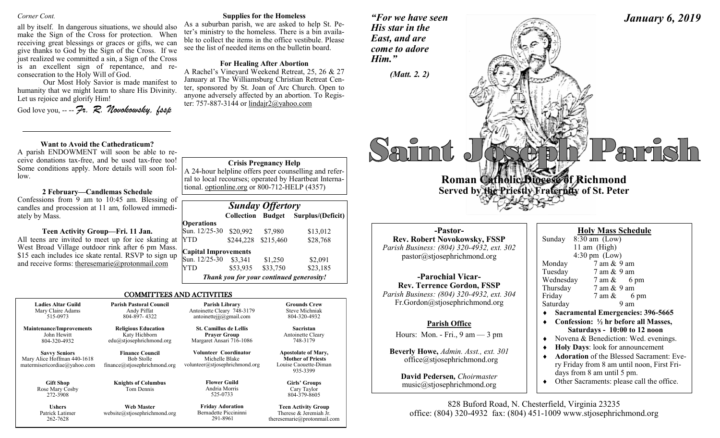#### *Corner Cont.*

all by itself. In dangerous situations, we should also make the Sign of the Cross for protection. When receiving great blessings or graces or gifts, we can give thanks to God by the Sign of the Cross. If we just realized we committed a sin, a Sign of the Cross is an excellent sign of repentance, and reconsecration to the Holy Will of God.

Our Most Holy Savior is made manifest to humanity that we might learn to share His Divinity. Let us rejoice and glorify Him!

God love you, -- -- *Fr. R. Novokowsky, fssp* 

#### **Want to Avoid the Cathedraticum?**

A parish ENDOWMENT will soon be able to receive donations tax-free, and be used tax-free too! Some conditions apply. More details will soon follow.

#### **2 February—Candlemas Schedule**

Confessions from 9 am to 10:45 am. Blessing of candles and procession at 11 am, followed immediately by Mass.

#### **Teen Activity Group—Fri. 11 Jan.**

All teens are invited to meet up for ice skating at West Broad Village outdoor rink after 6 pm Mass. \$15 each includes ice skate rental. RSVP to sign up and receive forms: theresemarie@protonmail.com YTD \$244,228 \$215,460 \$28,768 **Capital Improvements**  Sun. 12/25-30 \$3,341 \$1,250 \$2,091 YTD \$53,935 \$33,750 \$23,185

#### **Supplies for the Homeless**

As a suburban parish, we are asked to help St. Peter's ministry to the homeless. There is a bin available to collect the items in the office vestibule. Please see the list of needed items on the bulletin board.

#### **For Healing After Abortion**

A Rachel's Vineyard Weekend Retreat, 25, 26 & 27 January at The Williamsburg Christian Retreat Center, sponsored by St. Joan of Arc Church. Open to anyone adversely affected by an abortion. To Register: 757-887-3144 or lindair $2@$ vahoo.com

*Sunday Offertory* 

**Crisis Pregnancy Help** A 24-hour helpline offers peer counselling and referral to local recourses; operated by Heartbeat International. optionline.org or 800-712-HELP (4357)

*Thank you for your continued generosity!*

Sun. 12/25-30 \$20,992 \$7,980 \$13,012

 **Collection Budget Surplus/(Deficit)**

*"For we have seen His star in the East, and are* 



# *come to adore Him." (Matt. 2. 2)* arish **Roman Catholic Dioces of Richmond Served by the Priestly Fraternity of St. Peter**

**-Pastor-Rev. Robert Novokowsky, FSSP** *Parish Business: (804) 320-4932, ext. 302* pastor@stjosephrichmond.org

**-Parochial Vicar-Rev. Terrence Gordon, FSSP** *Parish Business: (804) 320-4932, ext. 304* Fr.Gordon@stjosephrichmond.org

#### **Parish Office**

Hours: Mon. - Fri., 9 am — 3 pm

**Beverly Howe,** *Admin. Asst., ext. 301* office@stjosephrichmond.org

**David Pedersen***, Choirmaster* music@stjosephrichmond.org

| <b>Holy Mass Schedule</b>         |                                           |  |  |
|-----------------------------------|-------------------------------------------|--|--|
|                                   | Sunday 8:30 am (Low)                      |  |  |
|                                   | 11 am (High)                              |  |  |
| $4:30 \text{ pm}$ (Low)           |                                           |  |  |
| Monday                            | 7 am & 9 am                               |  |  |
| Tuesday                           | 7 am & 9 am                               |  |  |
|                                   | Wednesday $7 \text{ am } \& 6 \text{ pm}$ |  |  |
| Thursday                          | 7 am & 9 am                               |  |  |
| Friday                            | $7 \text{ am } \& 6 \text{ pm}$           |  |  |
| Saturday                          | 9 am                                      |  |  |
| Sacramental Emergencies: 396-5665 |                                           |  |  |

- **Confession: ½ hr before all Masses, Saturdays - 10:00 to 12 noon**
- Novena & Benediction: Wed. evenings.
- **Holy Days**: look for announcement
- **Adoration** of the Blessed Sacrament: Every Friday from 8 am until noon, First Fridays from 8 am until 5 pm.
- Other Sacraments: please call the office.

828 Buford Road, N. Chesterfield, Virginia 23235 office: (804) 320-4932 fax: (804) 451-1009 www.stjosephrichmond.org

**Maintenance/Improvements** Mary Alice Hoffman 440-1618 matermisericordiae@yahoo.com Andy Piffat 804-897- 4322 **Religious Education** Katy Hichborn edu@stjosephrichmond.org **Finance Council** Bob Stolle finance@stjosephrichmond.org **Knights of Columbus** Tom Dennis **Parish Library** Antoinette Cleary 748-3179 antoinettejjj@gmail.com **St. Camillus de Lellis Prayer Group** Margaret Ansari 716-1086 **Volunteer Coordinator** Michelle Blake volunteer@stjosephrichmond.org **Flower Guild** Andria Morris

COMMITTEES AND ACTIVITIES

**Operations**

Rose Mary Cosby

**Ushers** Patrick Latimer 262-7628

**Gift Shop** 

272-3908

**Ladies Altar Guild** Mary Claire Adams 515-0973

> John Hewitt 804-320-4932 **Savvy Seniors**

525-0733

291-8961

**Web Master** website@stjosephrichmond.org **Friday Adoration** Bernadette Piccininni

**Mother of Priests** Louise Caouette-Diman 935-3399

**Girls' Groups** Cary Taylor 804-379-8605

**Grounds Crew** Steve Michniak 804-320-4932 **Sacristan** Antoinette Cleary 748-3179 **Apostolate of Mary,**

#### **Teen Activity Group** Therese & Jeremiah Jr. theresemarie@protonmail.com

**Parish Pastoral Council**